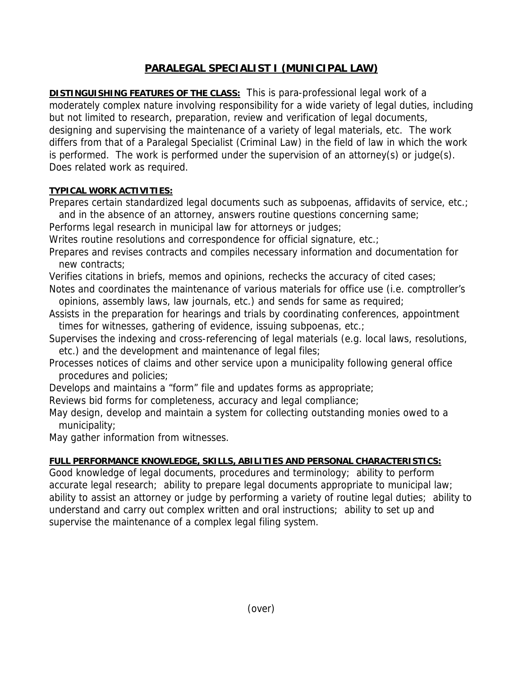## **PARALEGAL SPECIALIST I (MUNICIPAL LAW)**

**DISTINGUISHING FEATURES OF THE CLASS:** This is para-professional legal work of a moderately complex nature involving responsibility for a wide variety of legal duties, including but not limited to research, preparation, review and verification of legal documents, designing and supervising the maintenance of a variety of legal materials, etc. The work differs from that of a Paralegal Specialist (Criminal Law) in the field of law in which the work is performed. The work is performed under the supervision of an attorney(s) or judge(s). Does related work as required.

## **TYPICAL WORK ACTIVITIES:**

Prepares certain standardized legal documents such as subpoenas, affidavits of service, etc.;

 and in the absence of an attorney, answers routine questions concerning same; Performs legal research in municipal law for attorneys or judges;

Writes routine resolutions and correspondence for official signature, etc.;

Prepares and revises contracts and compiles necessary information and documentation for new contracts;

Verifies citations in briefs, memos and opinions, rechecks the accuracy of cited cases;

Notes and coordinates the maintenance of various materials for office use (i.e. comptroller's opinions, assembly laws, law journals, etc.) and sends for same as required;

- Assists in the preparation for hearings and trials by coordinating conferences, appointment times for witnesses, gathering of evidence, issuing subpoenas, etc.;
- Supervises the indexing and cross-referencing of legal materials (e.g. local laws, resolutions, etc.) and the development and maintenance of legal files;

Processes notices of claims and other service upon a municipality following general office procedures and policies;

Develops and maintains a "form" file and updates forms as appropriate;

Reviews bid forms for completeness, accuracy and legal compliance;

May design, develop and maintain a system for collecting outstanding monies owed to a municipality;

May gather information from witnesses.

## **FULL PERFORMANCE KNOWLEDGE, SKILLS, ABILITIES AND PERSONAL CHARACTERISTICS:**

Good knowledge of legal documents, procedures and terminology; ability to perform accurate legal research; ability to prepare legal documents appropriate to municipal law; ability to assist an attorney or judge by performing a variety of routine legal duties; ability to understand and carry out complex written and oral instructions; ability to set up and supervise the maintenance of a complex legal filing system.